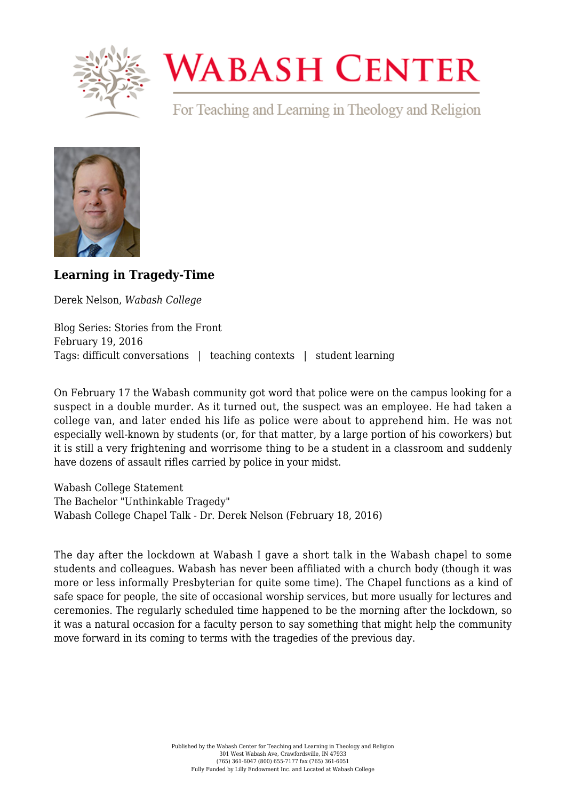

## **WABASH CENTER**

For Teaching and Learning in Theology and Religion



## **[Learning in Tragedy-Time](https://www.wabashcenter.wabash.edu/2016/02/learning-in-tragedy-time/)**

Derek Nelson, *Wabash College*

Blog Series: Stories from the Front February 19, 2016 Tags: difficult conversations | teaching contexts | student learning

On February 17 the Wabash community got word that police were on the campus looking for a suspect in a double murder. As it turned out, the suspect was an employee. He had taken a college van, and later ended his life as police were about to apprehend him. He was not especially well-known by students (or, for that matter, by a large portion of his coworkers) but it is still a very frightening and worrisome thing to be a student in a classroom and suddenly have dozens of assault rifles carried by police in your midst.

[Wabash College Statement](http://www.wabash.edu/news/displaystory.cfm?news_ID=10757) [The Bachelor "Unthinkable Tragedy"](http://www.wabash.edu/bachelor/issues/2016s/The%20Bachelor%202-18-2016.pdf) [Wabash College Chapel Talk - Dr. Derek Nelson \(February 18, 2016\)](https://www.youtube.com/watch?v=4s6IXExyGmA&feature=youtu.be)

The day after the lockdown at Wabash I gave a short talk in the Wabash chapel to some students and colleagues. Wabash has never been affiliated with a church body (though it was more or less informally Presbyterian for quite some time). The Chapel functions as a kind of safe space for people, the site of occasional worship services, but more usually for lectures and ceremonies. The regularly scheduled time happened to be the morning after the lockdown, so it was a natural occasion for a faculty person to say something that might help the community move forward in its coming to terms with the tragedies of the previous day.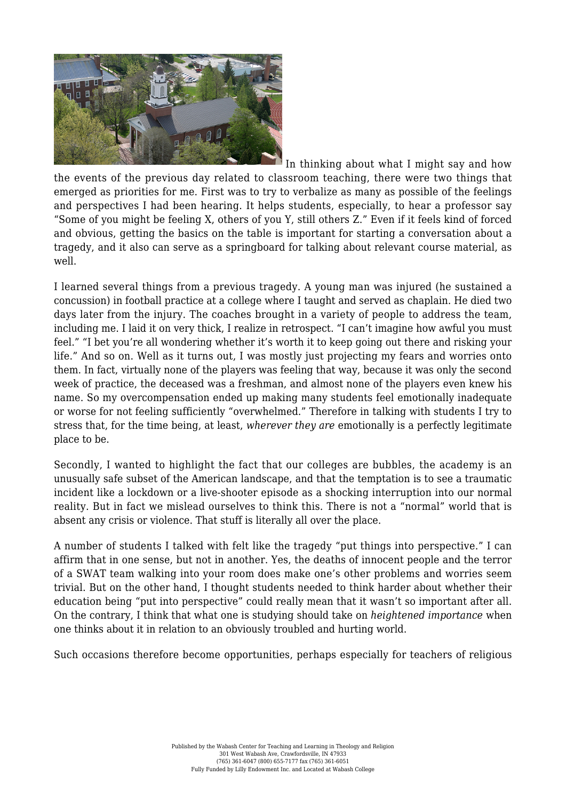

In thinking about what I might say and how the events of the previous day related to classroom teaching, there were two things that emerged as priorities for me. First was to try to verbalize as many as possible of the feelings and perspectives I had been hearing. It helps students, especially, to hear a professor say "Some of you might be feeling X, others of you Y, still others Z." Even if it feels kind of forced and obvious, getting the basics on the table is important for starting a conversation about a tragedy, and it also can serve as a springboard for talking about relevant course material, as well.

I learned several things from a previous tragedy. A young man was injured (he sustained a concussion) in football practice at a college where I taught and served as chaplain. He died two days later from the injury. The coaches brought in a variety of people to address the team, including me. I laid it on very thick, I realize in retrospect. "I can't imagine how awful you must feel." "I bet you're all wondering whether it's worth it to keep going out there and risking your life." And so on. Well as it turns out, I was mostly just projecting my fears and worries onto them. In fact, virtually none of the players was feeling that way, because it was only the second week of practice, the deceased was a freshman, and almost none of the players even knew his name. So my overcompensation ended up making many students feel emotionally inadequate or worse for not feeling sufficiently "overwhelmed." Therefore in talking with students I try to stress that, for the time being, at least, *wherever they are* emotionally is a perfectly legitimate place to be.

Secondly, I wanted to highlight the fact that our colleges are bubbles, the academy is an unusually safe subset of the American landscape, and that the temptation is to see a traumatic incident like a lockdown or a live-shooter episode as a shocking interruption into our normal reality. But in fact we mislead ourselves to think this. There is not a "normal" world that is absent any crisis or violence. That stuff is literally all over the place.

A number of students I talked with felt like the tragedy "put things into perspective." I can affirm that in one sense, but not in another. Yes, the deaths of innocent people and the terror of a SWAT team walking into your room does make one's other problems and worries seem trivial. But on the other hand, I thought students needed to think harder about whether their education being "put into perspective" could really mean that it wasn't so important after all. On the contrary, I think that what one is studying should take on *heightened importance* when one thinks about it in relation to an obviously troubled and hurting world.

Such occasions therefore become opportunities, perhaps especially for teachers of religious